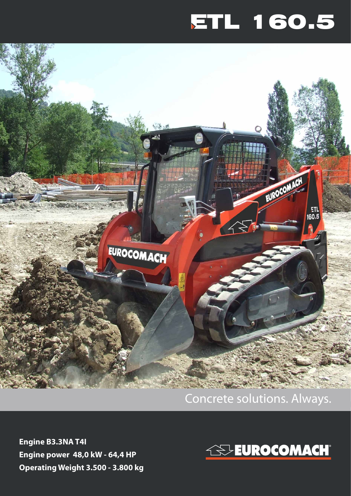## ETL 160.5



## Concrete solutions. Always.

**Engine B3.3NA T4I Engine power 48,0 kW - 64,4 HP Operating Weight 3.500 - 3.800 kg**